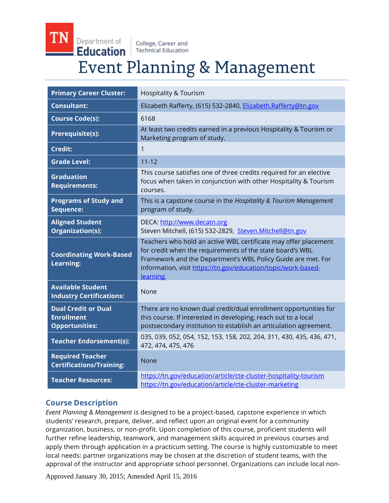Department of College, Career and Education **Technical Education Event Planning & Management** 

| <b>Primary Career Cluster:</b>                                           | <b>Hospitality &amp; Tourism</b>                                                                                                                                                                                                                                           |
|--------------------------------------------------------------------------|----------------------------------------------------------------------------------------------------------------------------------------------------------------------------------------------------------------------------------------------------------------------------|
| <b>Consultant:</b>                                                       | Elizabeth Rafferty, (615) 532-2840, Elizabeth.Rafferty@tn.gov                                                                                                                                                                                                              |
| <b>Course Code(s):</b>                                                   | 6168                                                                                                                                                                                                                                                                       |
| Prerequisite(s):                                                         | At least two credits earned in a previous Hospitality & Tourism or<br>Marketing program of study.                                                                                                                                                                          |
| <b>Credit:</b>                                                           | 1                                                                                                                                                                                                                                                                          |
| <b>Grade Level:</b>                                                      | $11 - 12$                                                                                                                                                                                                                                                                  |
| <b>Graduation</b><br><b>Requirements:</b>                                | This course satisfies one of three credits required for an elective<br>focus when taken in conjunction with other Hospitality & Tourism<br>courses.                                                                                                                        |
| <b>Programs of Study and</b><br>Sequence:                                | This is a capstone course in the Hospitality & Tourism Management<br>program of study.                                                                                                                                                                                     |
| <b>Aligned Student</b><br>Organization(s):                               | DECA: http://www.decatn.org<br>Steven Mitchell, (615) 532-2829, Steven.Mitchell@tn.gov                                                                                                                                                                                     |
| <b>Coordinating Work-Based</b><br><b>Learning:</b>                       | Teachers who hold an active WBL certificate may offer placement<br>for credit when the requirements of the state board's WBL<br>Framework and the Department's WBL Policy Guide are met. For<br>information, visit https://tn.gov/education/topic/work-based-<br>learning. |
| <b>Available Student</b><br><b>Industry Certifications:</b>              | None                                                                                                                                                                                                                                                                       |
| <b>Dual Credit or Dual</b><br><b>Enrollment</b><br><b>Opportunities:</b> | There are no known dual credit/dual enrollment opportunities for<br>this course. If interested in developing, reach out to a local<br>postsecondary institution to establish an articulation agreement.                                                                    |
| <b>Teacher Endorsement(s):</b>                                           | 035, 039, 052, 054, 152, 153, 158, 202, 204, 311, 430, 435, 436, 471,<br>472, 474, 475, 476                                                                                                                                                                                |
| <b>Required Teacher</b><br><b>Certifications/Training:</b>               | None                                                                                                                                                                                                                                                                       |
| <b>Teacher Resources:</b>                                                | https://tn.gov/education/article/cte-cluster-hospitality-tourism<br>https://tn.gov/education/article/cte-cluster-marketing                                                                                                                                                 |

## **Course Description**

*Event Planning & Management* is designed to be a project-based, capstone experience in which students' research, prepare, deliver, and reflect upon an original event for a community organization, business, or non-profit. Upon completion of this course, proficient students will further refine leadership, teamwork, and management skills acquired in previous courses and apply them through application in a practicum setting. The course is highly customizable to meet local needs: partner organizations may be chosen at the discretion of student teams, with the approval of the instructor and appropriate school personnel. Organizations can include local non-

Approved January 30, 2015; Amended April 15, 2016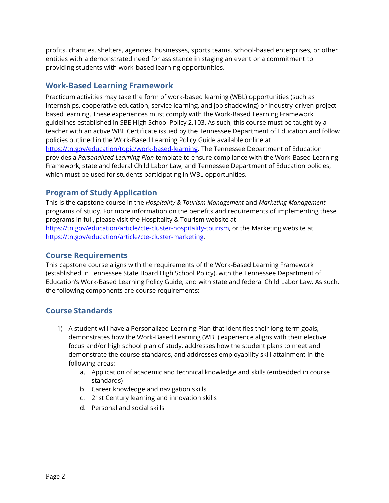profits, charities, shelters, agencies, businesses, sports teams, school-based enterprises, or other entities with a demonstrated need for assistance in staging an event or a commitment to providing students with work-based learning opportunities.

# **Work-Based Learning Framework**

Practicum activities may take the form of work-based learning (WBL) opportunities (such as internships, cooperative education, service learning, and job shadowing) or industry-driven projectbased learning. These experiences must comply with the Work-Based Learning Framework guidelines established in SBE High School Policy 2.103. As such, this course must be taught by a teacher with an active WBL Certificate issued by the Tennessee Department of Education and follow policies outlined in the Work-Based Learning Policy Guide available online at [https://tn.gov/education/topic/work-based-learning.](https://tn.gov/education/topic/work-based-learning) The Tennessee Department of Education provides a *Personalized Learning Plan* template to ensure compliance with the Work-Based Learning Framework, state and federal Child Labor Law, and Tennessee Department of Education policies, which must be used for students participating in WBL opportunities.

# **Program of Study Application**

This is the capstone course in the *Hospitality & Tourism Management* and *Marketing Management* programs of study. For more information on the benefits and requirements of implementing these programs in full, please visit the Hospitality & Tourism website at [https://tn.gov/education/article/cte-cluster-hospitality-tourism,](http://www.tn.gov/education/cte/HospitalityTourism.shtml) or the Marketing website at [https://tn.gov/education/article/cte-cluster-marketing.](https://tn.gov/education/article/cte-cluster-marketing)

## **Course Requirements**

This capstone course aligns with the requirements of the Work-Based Learning Framework (established in Tennessee State Board High School Policy), with the Tennessee Department of Education's Work-Based Learning Policy Guide, and with state and federal Child Labor Law. As such, the following components are course requirements:

## **Course Standards**

- 1) A student will have a Personalized Learning Plan that identifies their long-term goals, demonstrates how the Work-Based Learning (WBL) experience aligns with their elective focus and/or high school plan of study, addresses how the student plans to meet and demonstrate the course standards, and addresses employability skill attainment in the following areas:
	- a. Application of academic and technical knowledge and skills (embedded in course standards)
	- b. Career knowledge and navigation skills
	- c. 21st Century learning and innovation skills
	- d. Personal and social skills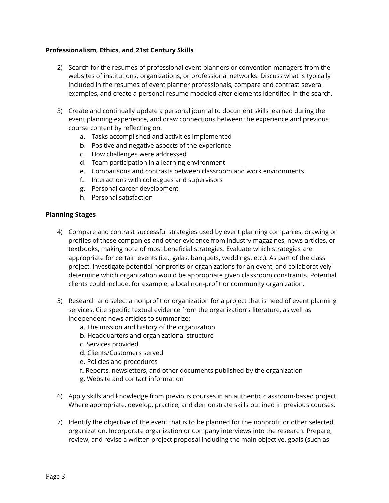#### **Professionalism, Ethics, and 21st Century Skills**

- 2) Search for the resumes of professional event planners or convention managers from the websites of institutions, organizations, or professional networks. Discuss what is typically included in the resumes of event planner professionals, compare and contrast several examples, and create a personal resume modeled after elements identified in the search.
- 3) Create and continually update a personal journal to document skills learned during the event planning experience, and draw connections between the experience and previous course content by reflecting on:
	- a. Tasks accomplished and activities implemented
	- b. Positive and negative aspects of the experience
	- c. How challenges were addressed
	- d. Team participation in a learning environment
	- e. Comparisons and contrasts between classroom and work environments
	- f. Interactions with colleagues and supervisors
	- g. Personal career development
	- h. Personal satisfaction

#### **Planning Stages**

- 4) Compare and contrast successful strategies used by event planning companies, drawing on profiles of these companies and other evidence from industry magazines, news articles, or textbooks, making note of most beneficial strategies. Evaluate which strategies are appropriate for certain events (i.e., galas, banquets, weddings, etc.). As part of the class project, investigate potential nonprofits or organizations for an event, and collaboratively determine which organization would be appropriate given classroom constraints. Potential clients could include, for example, a local non-profit or community organization.
- 5) Research and select a nonprofit or organization for a project that is need of event planning services. Cite specific textual evidence from the organization's literature, as well as independent news articles to summarize:
	- a. The mission and history of the organization
	- b. Headquarters and organizational structure
	- c. Services provided
	- d. Clients/Customers served
	- e. Policies and procedures
	- f. Reports, newsletters, and other documents published by the organization
	- g. Website and contact information
- 6) Apply skills and knowledge from previous courses in an authentic classroom-based project. Where appropriate, develop, practice, and demonstrate skills outlined in previous courses.
- 7) Identify the objective of the event that is to be planned for the nonprofit or other selected organization. Incorporate organization or company interviews into the research. Prepare, review, and revise a written project proposal including the main objective, goals (such as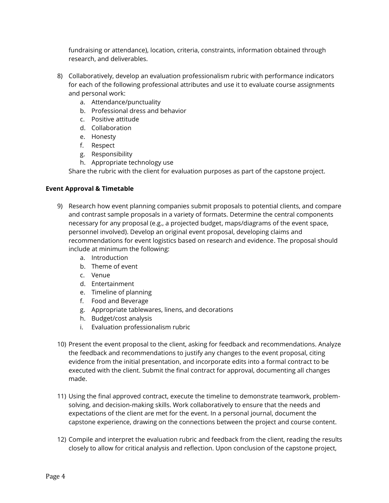fundraising or attendance), location, criteria, constraints, information obtained through research, and deliverables.

- 8) Collaboratively, develop an evaluation professionalism rubric with performance indicators for each of the following professional attributes and use it to evaluate course assignments and personal work:
	- a. Attendance/punctuality
	- b. Professional dress and behavior
	- c. Positive attitude
	- d. Collaboration
	- e. Honesty
	- f. Respect
	- g. Responsibility
	- h. Appropriate technology use

Share the rubric with the client for evaluation purposes as part of the capstone project.

#### **Event Approval & Timetable**

- 9) Research how event planning companies submit proposals to potential clients, and compare and contrast sample proposals in a variety of formats. Determine the central components necessary for any proposal (e.g., a projected budget, maps/diagrams of the event space, personnel involved). Develop an original event proposal, developing claims and recommendations for event logistics based on research and evidence. The proposal should include at minimum the following:
	- a. Introduction
	- b. Theme of event
	- c. Venue
	- d. Entertainment
	- e. Timeline of planning
	- f. Food and Beverage
	- g. Appropriate tablewares, linens, and decorations
	- h. Budget/cost analysis
	- i. Evaluation professionalism rubric
- 10) Present the event proposal to the client, asking for feedback and recommendations. Analyze the feedback and recommendations to justify any changes to the event proposal, citing evidence from the initial presentation, and incorporate edits into a formal contract to be executed with the client. Submit the final contract for approval, documenting all changes made.
- 11) Using the final approved contract, execute the timeline to demonstrate teamwork, problemsolving, and decision-making skills. Work collaboratively to ensure that the needs and expectations of the client are met for the event. In a personal journal, document the capstone experience, drawing on the connections between the project and course content.
- 12) Compile and interpret the evaluation rubric and feedback from the client, reading the results closely to allow for critical analysis and reflection. Upon conclusion of the capstone project,